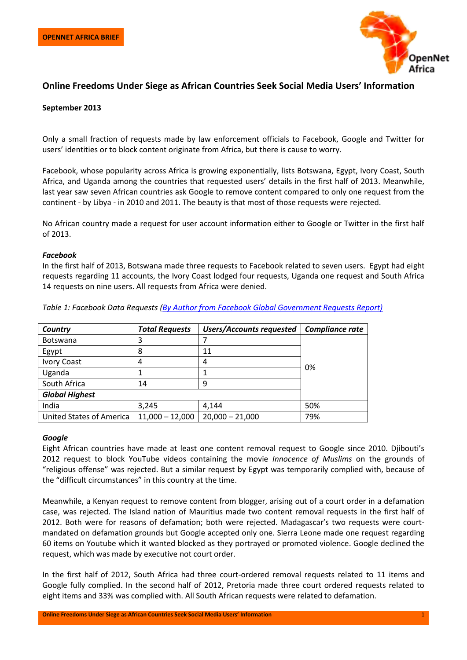

# **Online Freedoms Under Siege as African Countries Seek Social Media Users' Information**

## **September 2013**

Only a small fraction of requests made by law enforcement officials to Facebook, Google and Twitter for users' identities or to block content originate from Africa, but there is cause to worry.

Facebook, whose popularity across Africa is growing exponentially, lists Botswana, Egypt, Ivory Coast, South Africa, and Uganda among the countries that requested users' details in the first half of 2013. Meanwhile, last year saw seven African countries ask Google to remove content compared to only one request from the continent - by Libya - in 2010 and 2011. The beauty is that most of those requests were rejected.

No African country made a request for user account information either to Google or Twitter in the first half of 2013.

#### *Facebook*

In the first half of 2013, Botswana made three requests to Facebook related to seven users. Egypt had eight requests regarding 11 accounts, the Ivory Coast lodged four requests, Uganda one request and South Africa 14 requests on nine users. All requests from Africa were denied.

| Country                         | <b>Total Requests</b> | <b>Users/Accounts requested</b> | Compliance rate |
|---------------------------------|-----------------------|---------------------------------|-----------------|
| <b>Botswana</b>                 | ⊃                     |                                 | 0%              |
| Egypt                           | 8                     | 11                              |                 |
| <b>Ivory Coast</b>              | 4                     | 4                               |                 |
| Uganda                          |                       |                                 |                 |
| South Africa                    | 14                    | q                               |                 |
| <b>Global Highest</b>           |                       |                                 |                 |
| India                           | 3,245                 | 4,144                           | 50%             |
| <b>United States of America</b> | $11,000 - 12,000$     | $20,000 - 21,000$               | 79%             |

*Table 1: Facebook Data Requests [\(By Author from Facebook Global Government Requests Report\)](https://www.facebook.com/about/government_requests)*

### *Google*

Eight African countries have made at least one content removal request to Google since 2010. Djibouti's 2012 request to block YouTube videos containing the movie *Innocence of Muslims* on the grounds of "religious offense" was rejected. But a similar request by Egypt was temporarily complied with, because of the "difficult circumstances" in this country at the time.

Meanwhile, a Kenyan request to remove content from blogger, arising out of a court order in a defamation case, was rejected. The Island nation of Mauritius made two content removal requests in the first half of 2012. Both were for reasons of defamation; both were rejected. Madagascar's two requests were courtmandated on defamation grounds but Google accepted only one. Sierra Leone made one request regarding 60 items on Youtube which it wanted blocked as they portrayed or promoted violence. Google declined the request, which was made by executive not court order.

In the first half of 2012, South Africa had three court-ordered removal requests related to 11 items and Google fully complied. In the second half of 2012, Pretoria made three court ordered requests related to eight items and 33% was complied with. All South African requests were related to defamation.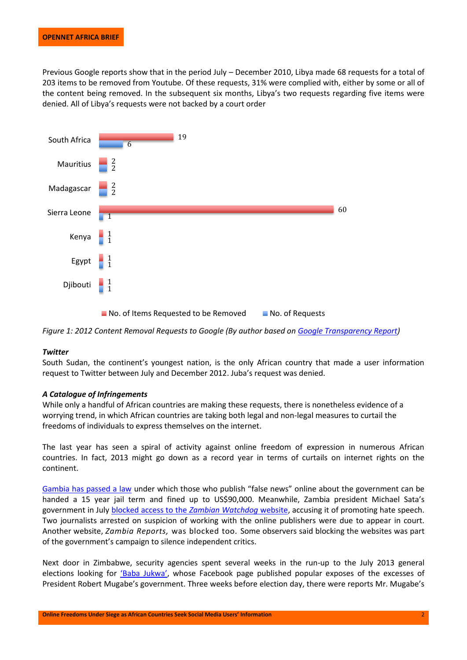Previous Google reports show that in the period July – December 2010, Libya made 68 requests for a total of 203 items to be removed from Youtube. Of these requests, 31% were complied with, either by some or all of the content being removed. In the subsequent six months, Libya's two requests regarding five items were denied. All of Libya's requests were not backed by a court order





### *Twitter*

South Sudan, the continent's youngest nation, is the only African country that made a user information request to Twitter between July and December 2012. Juba's request was denied.

### *A Catalogue of Infringements*

While only a handful of African countries are making these requests, there is nonetheless evidence of a worrying trend, in which African countries are taking both legal and non-legal measures to curtail the freedoms of individuals to express themselves on the internet.

The last year has seen a spiral of activity against online freedom of expression in numerous African countries. In fact, 2013 might go down as a record year in terms of curtails on internet rights on the continent.

[Gambia has passed a law](http://globalvoicesonline.org/2013/07/12/new-internet-law-in-the-gambia-puts-gag-on-government-criticism/) under which those who publish "false news" online about the government can be handed a 15 year jail term and fined up to US\$90,000. Meanwhile, Zambia president Michael Sata's government in July [blocked access to the](http://cpj.org/2013/07/in-zambia-harassment-of-watchdog-site-continues.php) *Zambian Watchdog* website, accusing it of promoting hate speech. Two journalists arrested on suspicion of working with the online publishers were due to appear in court. Another website, *Zambia Reports,* was blocked too*.* Some observers said blocking the websites was part of the government's campaign to silence independent critics.

Next door in Zimbabwe, security agencies spent several weeks in the run-up to the July 2013 general elections looking for ['Baba Jukwa'](http://www.telegraph.co.uk/news/worldnews/10178570/Mugabe-hunts-for-internet-mole-Baba-Jukwa-revealing-his-secrets.html), whose Facebook page published popular exposes of the excesses of President Robert Mugabe's government. Three weeks before election day, there were reports Mr. Mugabe's